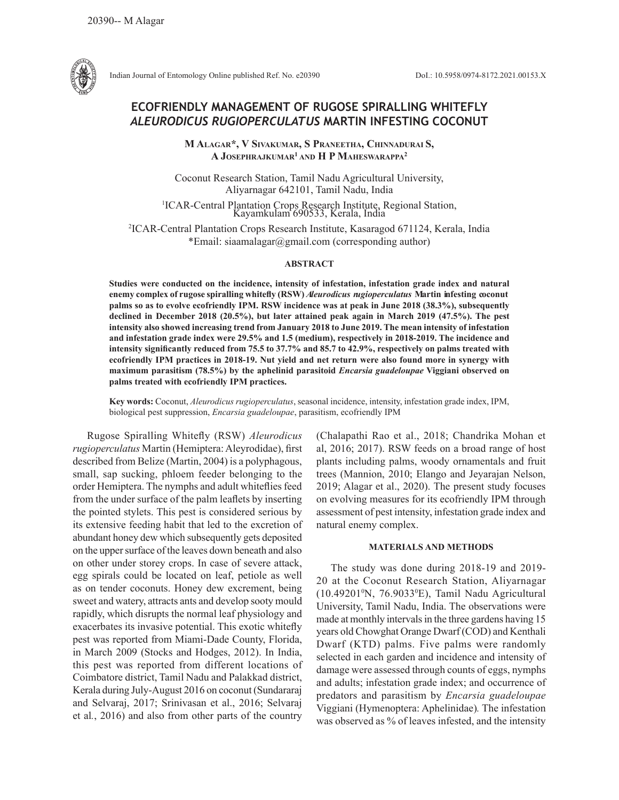

Indian Journal of Entomology Online published Ref. No. e20390 DoI.: 10.5958/0974-8172.2021.00153.X

# **ECOFRIENDLY MANAGEMENT OF RUGOSE SPIRALLING WHITEFLY**  *ALEURODICUS RUGIOPERCULATUS* **MARTIN INFESTING COCONUT**

**M AlAgAr\*, V SiVAkuMAr, S PrAneethA, ChinnAdurAi S, A JoSePhrAJkuMAr1 And h P MAheSwArAPPA<sup>2</sup>**

Coconut Research Station, Tamil Nadu Agricultural University, Aliyarnagar 642101, Tamil Nadu, India <sup>1</sup>ICAR-Central Plantation Crops Research Institute, Regional Station, Kayamkulam 690533, Kerala, India

2 ICAR-Central Plantation Crops Research Institute, Kasaragod 671124, Kerala, India \*Email: siaamalagar@gmail.com (corresponding author)

#### **ABSTRACT**

**Studies were conducted on the incidence, intensity of infestation, infestation grade index and natural enemy complex of rugose spiralling whitefly (RSW)** *Aleurodicus rugioperculatus* **Martin infesting coconut palms so as to evolve ecofriendly IPM. RSW incidence was at peak in June 2018 (38.3%), subsequently declined in December 2018 (20.5%), but later attained peak again in March 2019 (47.5%). The pest intensity also showed increasing trend from January 2018 to June 2019. The mean intensity of infestation and infestation grade index were 29.5% and 1.5 (medium), respectively in 2018-2019. The incidence and intensity significantly reduced from 75.5 to 37.7% and 85.7 to 42.9%, respectively on palms treated with ecofriendly IPM practices in 2018-19. Nut yield and net return were also found more in synergy with maximum parasitism (78.5%) by the aphelinid parasitoid** *Encarsia guadeloupae* **Viggiani observed on palms treated with ecofriendly IPM practices.** 

**Key words:** Coconut, *Aleurodicus rugioperculatus*, seasonal incidence, intensity, infestation grade index, IPM, biological pest suppression, *Encarsia guadeloupae*, parasitism, ecofriendly IPM

Rugose Spiralling Whitefly (RSW) *Aleurodicus rugioperculatus* Martin (Hemiptera: Aleyrodidae), first described from Belize (Martin, 2004) is a polyphagous, small, sap sucking, phloem feeder belonging to the order Hemiptera. The nymphs and adult whiteflies feed from the under surface of the palm leaflets by inserting the pointed stylets. This pest is considered serious by its extensive feeding habit that led to the excretion of abundant honey dew which subsequently gets deposited on the upper surface of the leaves down beneath and also on other under storey crops. In case of severe attack, egg spirals could be located on leaf, petiole as well as on tender coconuts. Honey dew excrement, being sweet and watery, attracts ants and develop sooty mould rapidly, which disrupts the normal leaf physiology and exacerbates its invasive potential. This exotic whitefly pest was reported from Miami-Dade County, Florida, in March 2009 (Stocks and Hodges, 2012). In India, this pest was reported from different locations of Coimbatore district, Tamil Nadu and Palakkad district, Kerala during July-August 2016 on coconut (Sundararaj and Selvaraj, 2017; Srinivasan et al., 2016; Selvaraj et al*.*, 2016) and also from other parts of the country

(Chalapathi Rao et al., 2018; Chandrika Mohan et al, 2016; 2017). RSW feeds on a broad range of host plants including palms, woody ornamentals and fruit trees (Mannion, 2010; Elango and Jeyarajan Nelson, 2019; Alagar et al., 2020). The present study focuses on evolving measures for its ecofriendly IPM through assessment of pest intensity, infestation grade index and natural enemy complex.

### **MATERIALS AND METHODS**

The study was done during 2018-19 and 2019- 20 at the Coconut Research Station, Aliyarnagar (10.49201<sup>o</sup>N, 76.9033<sup>o</sup>E), Tamil Nadu Agricultural University, Tamil Nadu, India. The observations were made at monthly intervals in the three gardens having 15 years old Chowghat Orange Dwarf (COD) and Kenthali Dwarf (KTD) palms. Five palms were randomly selected in each garden and incidence and intensity of damage were assessed through counts of eggs, nymphs and adults; infestation grade index; and occurrence of predators and parasitism by *Encarsia guadeloupae*  Viggiani (Hymenoptera: Aphelinidae)*.* The infestation was observed as % of leaves infested, and the intensity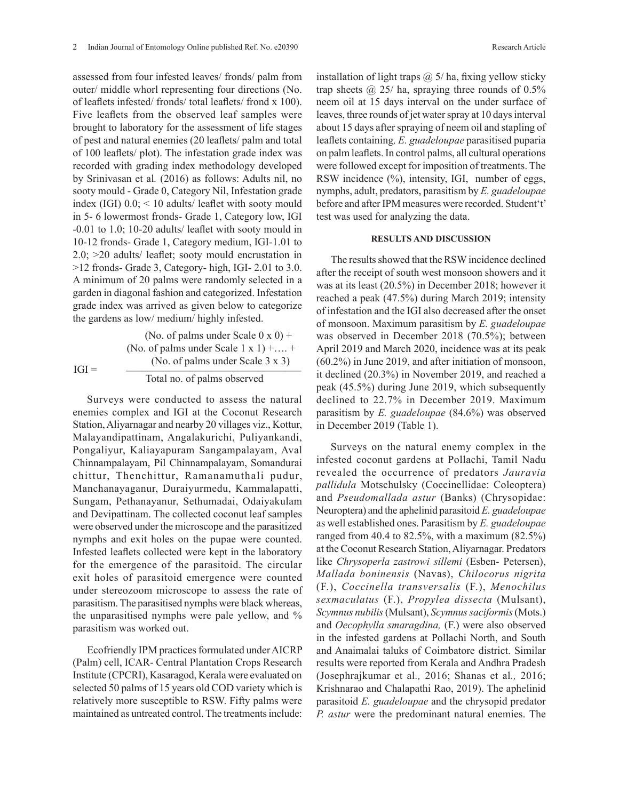assessed from four infested leaves/ fronds/ palm from outer/ middle whorl representing four directions (No. of leaflets infested/ fronds/ total leaflets/ frond x 100). Five leaflets from the observed leaf samples were brought to laboratory for the assessment of life stages of pest and natural enemies (20 leaflets/ palm and total of 100 leaflets/ plot). The infestation grade index was recorded with grading index methodology developed by Srinivasan et al*.* (2016) as follows: Adults nil, no sooty mould - Grade 0, Category Nil, Infestation grade index (IGI)  $0.0$ ;  $\leq 10$  adults/ leaflet with sooty mould in 5- 6 lowermost fronds- Grade 1, Category low, IGI -0.01 to 1.0; 10-20 adults/ leaflet with sooty mould in 10-12 fronds- Grade 1, Category medium, IGI-1.01 to 2.0; >20 adults/ leaflet; sooty mould encrustation in >12 fronds- Grade 3, Category- high, IGI- 2.01 to 3.0. A minimum of 20 palms were randomly selected in a garden in diagonal fashion and categorized. Infestation grade index was arrived as given below to categorize the gardens as low/ medium/ highly infested.

(No. of palms under Scale  $0 \times 0$ ) + (No. of palms under Scale 1 x 1) +.... +  $IGI =$  (No. of palms under Scale 3 x 3) Total no. of palms observed

Surveys were conducted to assess the natural enemies complex and IGI at the Coconut Research Station, Aliyarnagar and nearby 20 villages viz., Kottur, Malayandipattinam, Angalakurichi, Puliyankandi, Pongaliyur, Kaliayapuram Sangampalayam, Aval Chinnampalayam, Pil Chinnampalayam, Somandurai chittur, Thenchittur, Ramanamuthali pudur, Manchanayaganur, Duraiyurmedu, Kammalapatti, Sungam, Pethanayanur, Sethumadai, Odaiyakulam and Devipattinam. The collected coconut leaf samples were observed under the microscope and the parasitized nymphs and exit holes on the pupae were counted. Infested leaflets collected were kept in the laboratory for the emergence of the parasitoid. The circular exit holes of parasitoid emergence were counted under stereozoom microscope to assess the rate of parasitism. The parasitised nymphs were black whereas, the unparasitised nymphs were pale yellow, and % parasitism was worked out.

Ecofriendly IPM practices formulated under AICRP (Palm) cell, ICAR- Central Plantation Crops Research Institute (CPCRI), Kasaragod, Kerala were evaluated on selected 50 palms of 15 years old COD variety which is relatively more susceptible to RSW. Fifty palms were maintained as untreated control. The treatments include: installation of light traps @ 5/ ha, fixing yellow sticky trap sheets  $\omega$  25/ ha, spraying three rounds of 0.5% neem oil at 15 days interval on the under surface of leaves, three rounds of jet water spray at 10 days interval about 15 days after spraying of neem oil and stapling of leaflets containing*, E. guadeloupae* parasitised puparia on palm leaflets. In control palms, all cultural operations were followed except for imposition of treatments. The

RSW incidence  $\frac{6}{6}$ , intensity, IGI, number of eggs, nymphs, adult, predators, parasitism by *E. guadeloupae*  before and after IPM measures were recorded. Student't' test was used for analyzing the data.

## **RESULTS AND DISCUSSION**

The results showed that the RSW incidence declined after the receipt of south west monsoon showers and it was at its least (20.5%) in December 2018; however it reached a peak (47.5%) during March 2019; intensity of infestation and the IGI also decreased after the onset of monsoon. Maximum parasitism by *E. guadeloupae* was observed in December 2018 (70.5%); between April 2019 and March 2020, incidence was at its peak (60.2%) in June 2019, and after initiation of monsoon, it declined (20.3%) in November 2019, and reached a peak (45.5%) during June 2019, which subsequently declined to 22.7% in December 2019. Maximum parasitism by *E. guadeloupae* (84.6%) was observed in December 2019 (Table 1).

Surveys on the natural enemy complex in the infested coconut gardens at Pollachi, Tamil Nadu revealed the occurrence of predators *Jauravia pallidula* Motschulsky (Coccinellidae: Coleoptera) and *Pseudomallada astur* (Banks) (Chrysopidae: Neuroptera) and the aphelinid parasitoid *E. guadeloupae*  as well established ones. Parasitism by *E. guadeloupae*  ranged from 40.4 to 82.5%, with a maximum  $(82.5\%)$ at the Coconut Research Station, Aliyarnagar. Predators like *Chrysoperla zastrowi sillemi* (Esben- Petersen), *Mallada boninensis* (Navas), *Chilocorus nigrita* (F.), *Coccinella transversalis* (F.), *Menochilus sexmaculatus* (F.), *Propylea dissecta* (Mulsant), *Scymnus nubilis* (Mulsant), *Scymnus saciformis* (Mots.) and *Oecophylla smaragdina,* (F.) were also observed in the infested gardens at Pollachi North, and South and Anaimalai taluks of Coimbatore district. Similar results were reported from Kerala and Andhra Pradesh (Josephrajkumar et al*.,* 2016; Shanas et al*.,* 2016; Krishnarao and Chalapathi Rao, 2019). The aphelinid parasitoid *E. guadeloupae* and the chrysopid predator *P. astur* were the predominant natural enemies. The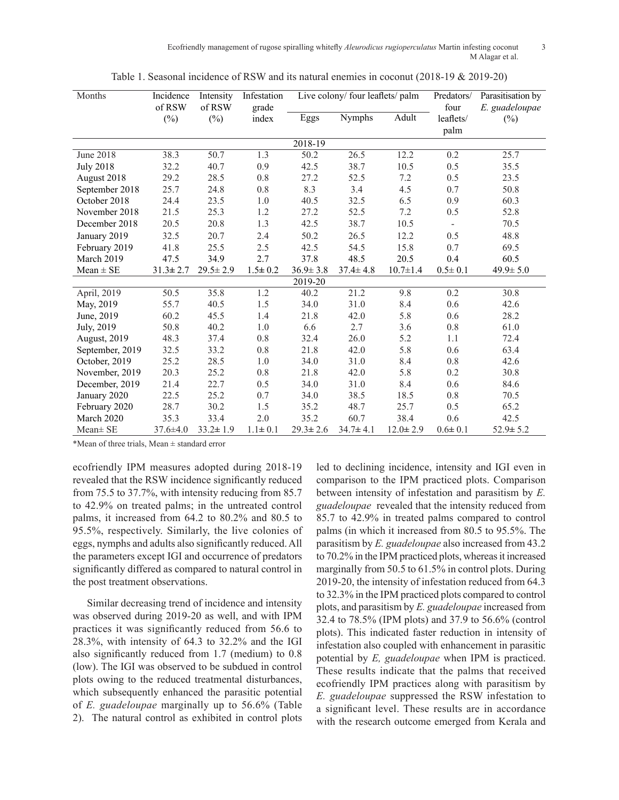Ecofriendly management of rugose spiralling whitefly *Aleurodicus rugioperculatus* Martin infesting coconut 3 M Alagar et al.

| Months           | Incidence<br>of RSW | Intensity<br>of RSW | Infestation<br>grade |                | Live colony/ four leaflets/ palm |                | Predators/<br>four       | Parasitisation by<br>E. guadeloupae |
|------------------|---------------------|---------------------|----------------------|----------------|----------------------------------|----------------|--------------------------|-------------------------------------|
|                  | $(\%)$              | $(\%)$              | index                | Eggs           | <b>Nymphs</b>                    | Adult          | leaflets/<br>palm        | $(\%)$                              |
|                  |                     |                     |                      | 2018-19        |                                  |                |                          |                                     |
| <b>June 2018</b> | 38.3                | 50.7                | 1.3                  | 50.2           | 26.5                             | 12.2           | 0.2                      | 25.7                                |
| <b>July 2018</b> | 32.2                | 40.7                | 0.9                  | 42.5           | 38.7                             | 10.5           | 0.5                      | 35.5                                |
| August 2018      | 29.2                | 28.5                | 0.8                  | 27.2           | 52.5                             | 7.2            | 0.5                      | 23.5                                |
| September 2018   | 25.7                | 24.8                | $0.8\,$              | 8.3            | 3.4                              | 4.5            | 0.7                      | 50.8                                |
| October 2018     | 24.4                | 23.5                | $1.0\,$              | 40.5           | 32.5                             | 6.5            | 0.9                      | 60.3                                |
| November 2018    | 21.5                | 25.3                | $1.2\,$              | 27.2           | 52.5                             | 7.2            | 0.5                      | 52.8                                |
| December 2018    | 20.5                | 20.8                | 1.3                  | 42.5           | 38.7                             | 10.5           | $\overline{\phantom{a}}$ | 70.5                                |
| January 2019     | 32.5                | 20.7                | 2.4                  | 50.2           | 26.5                             | 12.2           | 0.5                      | 48.8                                |
| February 2019    | 41.8                | 25.5                | 2.5                  | 42.5           | 54.5                             | 15.8           | 0.7                      | 69.5                                |
| March 2019       | 47.5                | 34.9                | 2.7                  | 37.8           | 48.5                             | 20.5           | 0.4                      | 60.5                                |
| $Mean \pm SE$    | $31.3 \pm 2.7$      | $29.5 \pm 2.9$      | $1.5 \pm 0.2$        | $36.9 \pm 3.8$ | $37.4 \pm 4.8$                   | $10.7 \pm 1.4$ | $0.5 \pm 0.1$            | $49.9 \pm 5.0$                      |
|                  |                     |                     |                      | 2019-20        |                                  |                |                          |                                     |
| April, 2019      | 50.5                | 35.8                | 1.2                  | 40.2           | 21.2                             | 9.8            | 0.2                      | 30.8                                |
| May, 2019        | 55.7                | 40.5                | 1.5                  | 34.0           | 31.0                             | 8.4            | 0.6                      | 42.6                                |
| June, 2019       | 60.2                | 45.5                | 1.4                  | 21.8           | 42.0                             | 5.8            | 0.6                      | 28.2                                |
| July, 2019       | 50.8                | 40.2                | 1.0                  | 6.6            | 2.7                              | 3.6            | 0.8                      | 61.0                                |
| August, 2019     | 48.3                | 37.4                | 0.8                  | 32.4           | 26.0                             | 5.2            | 1.1                      | 72.4                                |
| September, 2019  | 32.5                | 33.2                | $0.8\,$              | 21.8           | 42.0                             | 5.8            | 0.6                      | 63.4                                |
| October, 2019    | 25.2                | 28.5                | 1.0                  | 34.0           | 31.0                             | 8.4            | $0.8\,$                  | 42.6                                |
| November, 2019   | 20.3                | 25.2                | 0.8                  | 21.8           | 42.0                             | 5.8            | 0.2                      | 30.8                                |
| December, 2019   | 21.4                | 22.7                | 0.5                  | 34.0           | 31.0                             | 8.4            | 0.6                      | 84.6                                |
| January 2020     | 22.5                | 25.2                | 0.7                  | 34.0           | 38.5                             | 18.5           | $0.8\,$                  | 70.5                                |
| February 2020    | 28.7                | 30.2                | 1.5                  | 35.2           | 48.7                             | 25.7           | 0.5                      | 65.2                                |
| March 2020       | 35.3                | 33.4                | 2.0                  | 35.2           | 60.7                             | 38.4           | 0.6                      | 42.5                                |
| Mean± SE         | $37.6 \pm 4.0$      | $33.2 \pm 1.9$      | $1.1 \pm 0.1$        | $29.3 \pm 2.6$ | $34.7 \pm 4.1$                   | $12.0 \pm 2.9$ | $0.6 \pm 0.1$            | $52.9 \pm 5.2$                      |

Table 1. Seasonal incidence of RSW and its natural enemies in coconut (2018-19 & 2019-20)

\*Mean of three trials, Mean ± standard error

ecofriendly IPM measures adopted during 2018-19 revealed that the RSW incidence significantly reduced from 75.5 to 37.7%, with intensity reducing from 85.7 to 42.9% on treated palms; in the untreated control palms, it increased from 64.2 to 80.2% and 80.5 to 95.5%, respectively. Similarly, the live colonies of eggs, nymphs and adults also significantly reduced. All the parameters except IGI and occurrence of predators significantly differed as compared to natural control in the post treatment observations.

Similar decreasing trend of incidence and intensity was observed during 2019-20 as well, and with IPM practices it was significantly reduced from 56.6 to 28.3%, with intensity of 64.3 to 32.2% and the IGI also significantly reduced from 1.7 (medium) to 0.8 (low). The IGI was observed to be subdued in control plots owing to the reduced treatmental disturbances, which subsequently enhanced the parasitic potential of *E. guadeloupae* marginally up to 56.6% (Table 2). The natural control as exhibited in control plots led to declining incidence, intensity and IGI even in comparison to the IPM practiced plots. Comparison between intensity of infestation and parasitism by *E. guadeloupae* revealed that the intensity reduced from 85.7 to 42.9% in treated palms compared to control palms (in which it increased from 80.5 to 95.5%. The parasitism by *E. guadeloupae* also increased from 43.2 to 70.2% in the IPM practiced plots, whereas it increased marginally from 50.5 to 61.5% in control plots. During 2019-20, the intensity of infestation reduced from 64.3 to 32.3% in the IPM practiced plots compared to control plots, and parasitism by *E. guadeloupae* increased from 32.4 to 78.5% (IPM plots) and 37.9 to 56.6% (control plots). This indicated faster reduction in intensity of infestation also coupled with enhancement in parasitic potential by *E, guadeloupae* when IPM is practiced. These results indicate that the palms that received ecofriendly IPM practices along with parasitism by *E. guadeloupae* suppressed the RSW infestation to a significant level. These results are in accordance with the research outcome emerged from Kerala and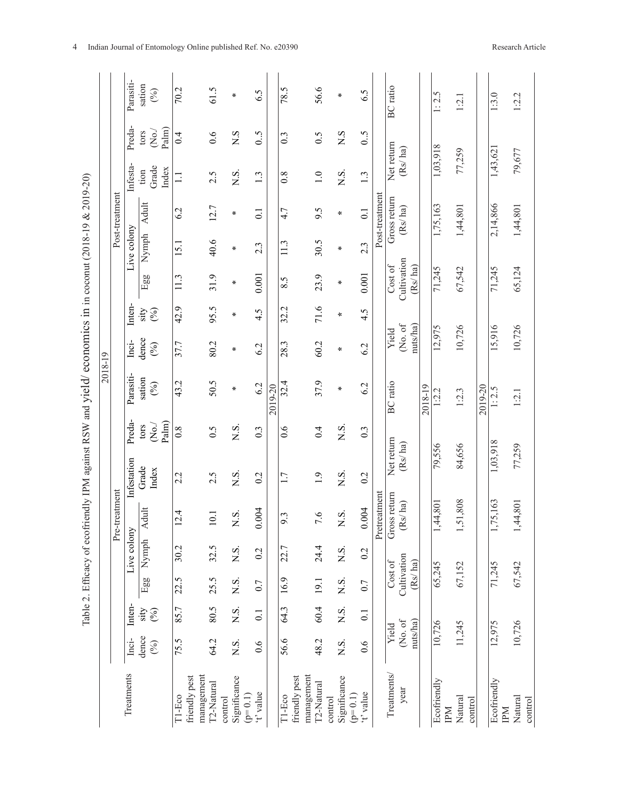|                                      |                  |                  |                        |                      |                                            |                       |                       | 2018-19         |                  |             |                        |                  |                         |                       |                            |                 |
|--------------------------------------|------------------|------------------|------------------------|----------------------|--------------------------------------------|-----------------------|-----------------------|-----------------|------------------|-------------|------------------------|------------------|-------------------------|-----------------------|----------------------------|-----------------|
|                                      |                  |                  |                        |                      | Pre-treatment                              |                       |                       |                 |                  |             |                        |                  | Post-treatment          |                       |                            |                 |
| Treatments                           | Inci-            | Inten-           |                        | Live colony          |                                            | Infestation           | Preda-                | Parasiti-       | Inci-            | Inten-      |                        | Live colony      |                         | Infesta-              | Preda-                     | Parasiti-       |
|                                      | dence<br>(%)     | ity<br>©         | Egg                    | Nymph $\overline{A}$ | dult                                       | Grade<br>Index        | $\mathrm{eV}$<br>tors | sation<br>(%)   | dence<br>$(\%)$  | (%)<br>sity | Egg                    | Nymph            | Adult                   | Grade<br>tion         | $\rm \ddot{\rm 8}$<br>tors | sation<br>(%)   |
|                                      |                  |                  |                        |                      |                                            |                       | Palm)                 |                 |                  |             |                        |                  |                         | Index                 | Palm)                      |                 |
| T1-Eco                               | 75.5             | 85.7             | 22.5                   | 30.2                 | 2.4                                        | 2.2                   | 0.8                   | 43.2            | 37.7             | 42.9        | 11.3                   | 15.1             | 6.2                     | $\Xi$                 | 0.4                        | 70.2            |
| management<br>friendly pest          |                  |                  |                        |                      |                                            |                       |                       |                 |                  |             |                        |                  |                         |                       |                            |                 |
| T2-Natural<br>control                | 64.2             | 80.5             | 25.5                   | 32.5                 | $\overline{0}$                             | 2.5                   | 0.5                   | 50.5            | 80.2             | 95.5        | 31.9                   | 40.6             | 12.7                    | 2.5                   | 0.6                        | 61.5            |
| Significance<br>$(p=0.1)$            | $\overline{S}$ . | $\overline{N}$ . | $\overline{S}$ .       | N.S.                 | N.S.                                       | X.S.                  | N.S.                  | ∗               | ⋇                | ∗           | ∗                      | ∗                | ∗                       | ΧŚ.                   | $\overline{S}$             | ⋇               |
| t' value                             | 0.6              | $\overline{0}$ . | 0.7                    | 0.2                  | 004<br>$\circ$                             | 0.2                   | $0.\overline{3}$      | 6.2             | 6.2              | 4.5         | 0.001                  | $2.\overline{3}$ | $\overline{0}$ :        | 1.3                   | 0.5                        | 6.5             |
|                                      |                  |                  |                        |                      |                                            |                       |                       | 2019-20         |                  |             |                        |                  |                         |                       |                            |                 |
| friendly pest<br>T1-Eco              | 56.6             | 64.3             | 16.9                   | 22.7                 | 9.3                                        | 1.7                   | 0.6                   | 32.4            | 28.3             | 32.2        | 8.5                    | 11.3             | 4.7                     | $\overline{0.8}$      | 0.3                        | 78.5            |
| management<br>T2-Natural             | 48.2             | 60.4             | 19.1                   | 24.4                 | 7.6                                        | 1.9                   | 0.4                   | 37.9            | 60.2             | 71.6        | 23.9                   | 30.5             | 9.5                     | 1.0                   | 0.5                        | 56.6            |
| Significance<br>$(p=0.1)$<br>control | N.S.             | $\times$ S.      | N.S.                   | $\overline{N}$ .     | N.S.                                       | X.S.                  | N.S.                  | ⋇               | $\star$          | $\star$     | ∗                      | ∗                | $\ast$                  | N.S.                  | S N                        | ⋇               |
| 't' value                            | 0.6              | $\overline{0}$ . | 0.7                    | 0.2                  | 0.004                                      | 0.2                   | 0.3                   | 6.2             | 6.2              | 4.5         | 0.001                  | 2.3              | $\overline{0}$ .        | 1.3                   | $\sim 0$                   | 6.5             |
|                                      |                  |                  |                        |                      | Pretreatment                               |                       |                       |                 |                  |             |                        |                  | Post-treatment          |                       |                            |                 |
| Treatments/<br>year                  | (No. of<br>Yield |                  | Cultivation<br>Cost of |                      | Gross return<br>$\frac{1}{a}$ ha)<br>$\in$ | Net return<br>(Rs/ha) |                       | <b>BC</b> ratio | (No. of<br>Yield |             | Cultivation<br>Cost of |                  | Gross return<br>(Rs/ha) | Net return<br>(Rs/ha) |                            | <b>BC</b> ratio |
|                                      | nuts/ha)         |                  | (Rs/ha)                |                      |                                            |                       |                       |                 | nuts/ha)         |             | $\frac{Rs}{ha}$        |                  |                         |                       |                            |                 |
|                                      |                  |                  |                        |                      |                                            |                       |                       | 2018-19         |                  |             |                        |                  |                         |                       |                            |                 |
| Ecofriendly<br>IМ                    | 10,726           |                  | 65,245                 |                      | 1,44,801                                   | 79,556                |                       | 1:2.2           | 12,975           |             | 71,245                 |                  | 1,75,163                | 1,03,918              |                            | 1:2.5           |
| Natural<br>control                   | 11,245           |                  | 67,152                 |                      | 1,51,808                                   | 84,656                |                       | 1:2.3           | 10,726           |             | 67,542                 |                  | 1,44,801                | 77,259                |                            | 1:2.1           |
|                                      |                  |                  |                        |                      |                                            |                       |                       | 2019-20         |                  |             |                        |                  |                         |                       |                            |                 |
| Ecofriendly<br>INd                   | 12,975           |                  | 71,245                 |                      | ,75,163                                    | 1,03,918              |                       | 1:2.5           | 15,916           |             | 71,245                 |                  | 2,14,866                | 1,43,621              |                            | 1:3.0           |
| Natural<br>control                   | 10,726           |                  | 67,542                 |                      | 1,44,801                                   | 77,259                |                       | $1:2.1$         | 10,726           |             | 65,124                 |                  | 1,44,801                | 79,677                |                            | 1:2.2           |

Table 2. Efficacy of ecofriendly IPM against RSW and yield/economics in in coconut (2018-19 & 2019-20) Table 2. Efficacy of ecofriendly IPM against RSW and yield/ economics in in coconut (2018-19 & 2019-20)